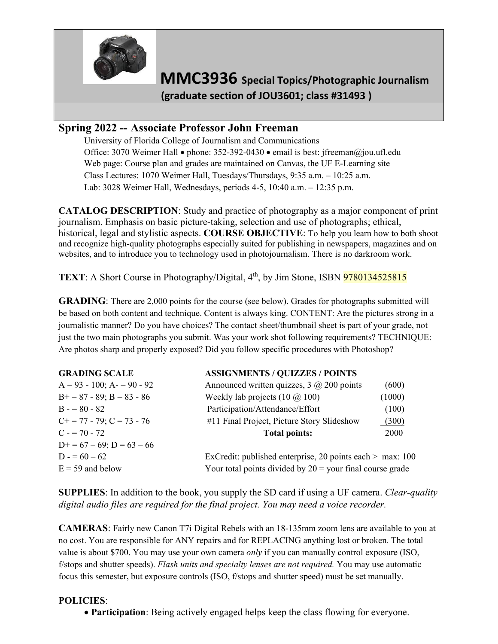

**MMC3936 Special Topics/Photographic Journalism (graduate section of JOU3601; class #31493 )** 

## **Spring 2022 -- Associate Professor John Freeman**

University of Florida College of Journalism and Communications Office: 3070 Weimer Hall • phone: 352-392-0430 • email is best: jfreeman@jou.ufl.edu Web page: Course plan and grades are maintained on Canvas, the UF E-Learning site Class Lectures: 1070 Weimer Hall, Tuesdays/Thursdays, 9:35 a.m. – 10:25 a.m. Lab: 3028 Weimer Hall, Wednesdays, periods 4-5, 10:40 a.m. – 12:35 p.m.

**CATALOG DESCRIPTION**: Study and practice of photography as a major component of print journalism. Emphasis on basic picture-taking, selection and use of photographs; ethical, historical, legal and stylistic aspects. **COURSE OBJECTIVE**: To help you learn how to both shoot and recognize high-quality photographs especially suited for publishing in newspapers, magazines and on websites, and to introduce you to technology used in photojournalism. There is no darkroom work.

**TEXT**: A Short Course in Photography/Digital, 4<sup>th</sup>, by Jim Stone, ISBN 9780134525815

**GRADING**: There are 2,000 points for the course (see below). Grades for photographs submitted will be based on both content and technique. Content is always king. CONTENT: Are the pictures strong in a journalistic manner? Do you have choices? The contact sheet/thumbnail sheet is part of your grade, not just the two main photographs you submit. Was your work shot following requirements? TECHNIQUE: Are photos sharp and properly exposed? Did you follow specific procedures with Photoshop?

| <b>GRADING SCALE</b>             | <b>ASSIGNMENTS / QUIZZES / POINTS</b>                       |        |
|----------------------------------|-------------------------------------------------------------|--------|
| $A = 93 - 100$ ; $A = 90 - 92$   | Announced written quizzes, $3 \hat{\omega}$ 200 points      | (600)  |
| $B+=87-89$ ; $B=83-86$           | Weekly lab projects $(10 \omega, 100)$                      | (1000) |
| $B = 80 - 82$                    | Participation/Attendance/Effort                             | (100)  |
| $C_{+}$ = 77 - 79; $C = 73$ - 76 | #11 Final Project, Picture Story Slideshow                  | (300)  |
| $C = 70 - 72$                    | <b>Total points:</b>                                        | 2000   |
| $D+=67-69; D=63-66$              |                                                             |        |
| $D = 60 - 62$                    | ExCredit: published enterprise, 20 points each $>$ max: 100 |        |
| $E = 59$ and below               | Your total points divided by $20 =$ your final course grade |        |
|                                  |                                                             |        |

**SUPPLIES**: In addition to the book, you supply the SD card if using a UF camera. *Clear-quality digital audio files are required for the final project. You may need a voice recorder.*

**CAMERAS**: Fairly new Canon T7i Digital Rebels with an 18-135mm zoom lens are available to you at no cost. You are responsible for ANY repairs and for REPLACING anything lost or broken. The total value is about \$700. You may use your own camera *only* if you can manually control exposure (ISO, f/stops and shutter speeds). *Flash units and specialty lenses are not required.* You may use automatic focus this semester, but exposure controls (ISO, f/stops and shutter speed) must be set manually.

### **POLICIES**:

• **Participation**: Being actively engaged helps keep the class flowing for everyone.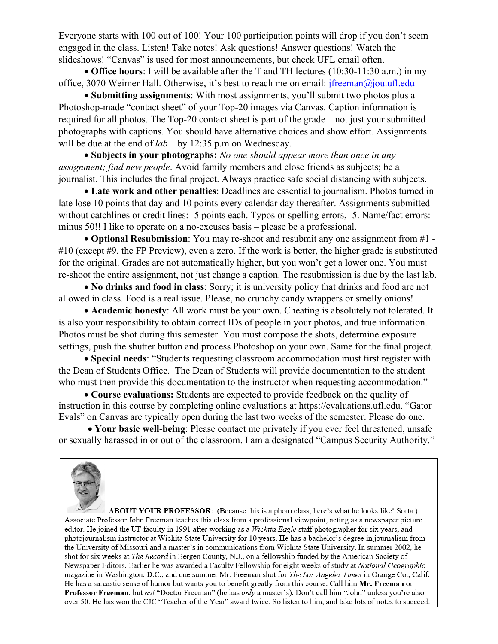Everyone starts with 100 out of 100! Your 100 participation points will drop if you don't seem engaged in the class. Listen! Take notes! Ask questions! Answer questions! Watch the slideshows! "Canvas" is used for most announcements, but check UFL email often.

• **Office hours**: I will be available after the T and TH lectures (10:30-11:30 a.m.) in my office, 3070 Weimer Hall. Otherwise, it's best to reach me on email: [jfreeman@jou.ufl.edu](mailto:jfreeman@jou.ufl.edu)

• **Submitting assignments**: With most assignments, you'll submit two photos plus a Photoshop-made "contact sheet" of your Top-20 images via Canvas. Caption information is required for all photos. The Top-20 contact sheet is part of the grade *–* not just your submitted photographs with captions. You should have alternative choices and show effort. Assignments will be due at the end of *lab* – by 12:35 p.m on Wednesday.

• **Subjects in your photographs:** *No one should appear more than once in any assignment; find new people*. Avoid family members and close friends as subjects; be a journalist. This includes the final project. Always practice safe social distancing with subjects.

• **Late work and other penalties**: Deadlines are essential to journalism. Photos turned in late lose 10 points that day and 10 points every calendar day thereafter. Assignments submitted without catchlines or credit lines: -5 points each. Typos or spelling errors, -5. Name/fact errors: minus 50!! I like to operate on a no-excuses basis – please be a professional.

• **Optional Resubmission**: You may re-shoot and resubmit any one assignment from #1 - #10 (except #9, the FP Preview), even a zero. If the work is better, the higher grade is substituted for the original. Grades are not automatically higher, but you won't get a lower one. You must re-shoot the entire assignment, not just change a caption. The resubmission is due by the last lab.

• **No drinks and food in class**: Sorry; it is university policy that drinks and food are not allowed in class. Food is a real issue. Please, no crunchy candy wrappers or smelly onions!

• **Academic honesty**: All work must be your own. Cheating is absolutely not tolerated. It is also your responsibility to obtain correct IDs of people in your photos, and true information. Photos must be shot during this semester. You must compose the shots, determine exposure settings, push the shutter button and process Photoshop on your own. Same for the final project.

• **Special needs**: "Students requesting classroom accommodation must first register with the Dean of Students Office. The Dean of Students will provide documentation to the student who must then provide this documentation to the instructor when requesting accommodation."

• **Course evaluations:** Students are expected to provide feedback on the quality of instruction in this course by completing online evaluations at https://evaluations.ufl.edu. "Gator Evals" on Canvas are typically open during the last two weeks of the semester. Please do one.

• **Your basic well-being**: Please contact me privately if you ever feel threatened, unsafe or sexually harassed in or out of the classroom. I am a designated "Campus Security Authority."



ABOUT YOUR PROFESSOR: (Because this is a photo class, here's what he looks like! Sorta.) Associate Professor John Freeman teaches this class from a professional viewpoint, acting as a newspaper picture editor. He joined the UF faculty in 1991 after working as a Wichita Eagle staff photographer for six years, and photojournalism instructor at Wichita State University for 10 years. He has a bachelor's degree in journalism from the University of Missouri and a master's in communications from Wichita State University. In summer 2002, he shot for six weeks at The Record in Bergen County, N.J., on a fellowship funded by the American Society of Newspaper Editors. Earlier he was awarded a Faculty Fellowship for eight weeks of study at National Geographic magazine in Washington, D.C., and one summer Mr. Freeman shot for *The Los Angeles Times* in Orange Co., Calif. He has a sarcastic sense of humor but wants you to benefit greatly from this course. Call him Mr. Freeman or Professor Freeman, but not "Doctor Freeman" (he has only a master's). Don't call him "John" unless you're also over 50. He has won the CJC "Teacher of the Year" award twice. So listen to him, and take lots of notes to succeed.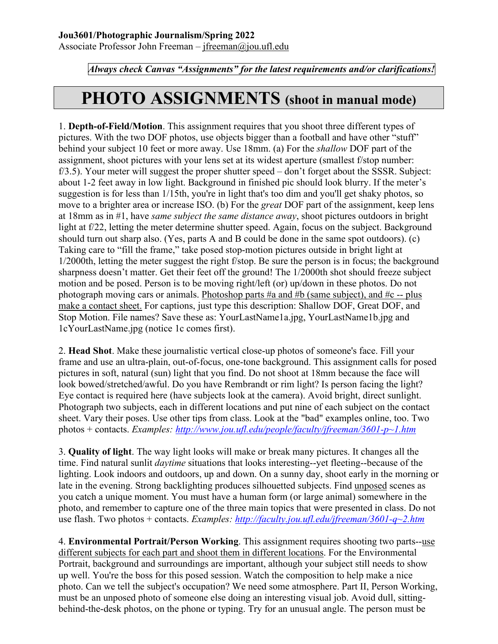Associate Professor John Freeman – [jfreeman@jou.ufl.edu](mailto:jfreeman@jou.ufl.edu)

*Always check Canvas "Assignments" for the latest requirements and/or clarifications!*

# **PHOTO ASSIGNMENTS (shoot in manual mode)**

1. **Depth-of-Field/Motion**. This assignment requires that you shoot three different types of pictures. With the two DOF photos, use objects bigger than a football and have other "stuff" behind your subject 10 feet or more away. Use 18mm. (a) For the *shallow* DOF part of the assignment, shoot pictures with your lens set at its widest aperture (smallest f/stop number: f/3.5). Your meter will suggest the proper shutter speed – don't forget about the SSSR. Subject: about 1-2 feet away in low light. Background in finished pic should look blurry. If the meter's suggestion is for less than 1/15th, you're in light that's too dim and you'll get shaky photos, so move to a brighter area or increase ISO. (b) For the *great* DOF part of the assignment, keep lens at 18mm as in #1, have *same subject the same distance away*, shoot pictures outdoors in bright light at f/22, letting the meter determine shutter speed. Again, focus on the subject. Background should turn out sharp also. (Yes, parts A and B could be done in the same spot outdoors). (c) Taking care to "fill the frame," take posed stop-motion pictures outside in bright light at 1/2000th, letting the meter suggest the right f/stop. Be sure the person is in focus; the background sharpness doesn't matter. Get their feet off the ground! The 1/2000th shot should freeze subject motion and be posed. Person is to be moving right/left (or) up/down in these photos. Do not photograph moving cars or animals. Photoshop parts #a and #b (same subject), and #c -- plus make a contact sheet. For captions, just type this description: Shallow DOF, Great DOF, and Stop Motion. File names? Save these as: YourLastName1a.jpg, YourLastName1b.jpg and 1cYourLastName.jpg (notice 1c comes first).

2. **Head Shot**. Make these journalistic vertical close-up photos of someone's face. Fill your frame and use an ultra-plain, out-of-focus, one-tone background. This assignment calls for posed pictures in soft, natural (sun) light that you find. Do not shoot at 18mm because the face will look bowed/stretched/awful. Do you have Rembrandt or rim light? Is person facing the light? Eye contact is required here (have subjects look at the camera). Avoid bright, direct sunlight. Photograph two subjects, each in different locations and put nine of each subject on the contact sheet. Vary their poses. Use other tips from class. Look at the "bad" examples online, too. Two photos + contacts. *Examples: [http://www.jou.ufl.edu/people/faculty/jfreeman/3601-p~1.htm](http://www.jou.ufl.edu/people/faculty/jfreeman/3601-p%7E1.htm)*

3. **Quality of light**. The way light looks will make or break many pictures. It changes all the time. Find natural sunlit *daytime* situations that looks interesting--yet fleeting--because of the lighting. Look indoors and outdoors, up and down. On a sunny day, shoot early in the morning or late in the evening. Strong backlighting produces silhouetted subjects. Find unposed scenes as you catch a unique moment. You must have a human form (or large animal) somewhere in the photo, and remember to capture one of the three main topics that were presented in class. Do not use flash. Two photos + contacts. *Examples: [http://faculty.jou.ufl.edu/jfreeman/3601-q~2.htm](http://faculty.jou.ufl.edu/jfreeman/3601-q%7E2.htm)*

4. **Environmental Portrait/Person Working**. This assignment requires shooting two parts--use different subjects for each part and shoot them in different locations. For the Environmental Portrait, background and surroundings are important, although your subject still needs to show up well. You're the boss for this posed session. Watch the composition to help make a nice photo. Can we tell the subject's occupation? We need some atmosphere. Part II, Person Working, must be an unposed photo of someone else doing an interesting visual job. Avoid dull, sittingbehind-the-desk photos, on the phone or typing. Try for an unusual angle. The person must be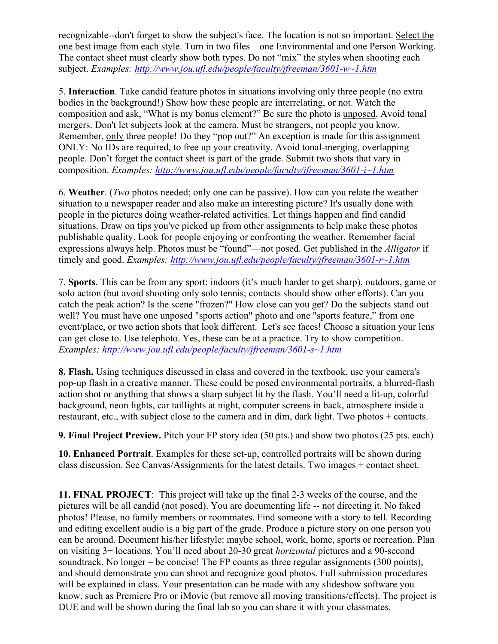recognizable--don't forget to show the subject's face. The location is not so important. Select the one best image from each style. Turn in two files – one Environmental and one Person Working. The contact sheet must clearly show both types. Do not "mix" the styles when shooting each subject. *Examples: [http://www.jou.ufl.edu/people/faculty/jfreeman/3601-w~1.htm](http://www.jou.ufl.edu/people/faculty/jfreeman/3601-w%7E1.htm)*

5. **Interaction**. Take candid feature photos in situations involving only three people (no extra bodies in the background!) Show how these people are interrelating, or not. Watch the composition and ask, "What is my bonus element?" Be sure the photo is unposed. Avoid tonal mergers. Don't let subjects look at the camera. Must be strangers, not people you know. Remember, only three people! Do they "pop out?" An exception is made for this assignment ONLY: No IDs are required, to free up your creativity. Avoid tonal-merging, overlapping people. Don't forget the contact sheet is part of the grade. Submit two shots that vary in composition. *Examples: [http://www.jou.ufl.edu/people/faculty/jfreeman/3601-i~1.htm](http://www.jou.ufl.edu/people/faculty/jfreeman/3601-i%7E1.htm)*

6. **Weather**. (*Two* photos needed; only one can be passive). How can you relate the weather situation to a newspaper reader and also make an interesting picture? It's usually done with people in the pictures doing weather-related activities. Let things happen and find candid situations. Draw on tips you've picked up from other assignments to help make these photos publishable quality. Look for people enjoying or confronting the weather. Remember facial expressions always help. Photos must be "found"—not posed. Get published in the *Alligator* if timely and good. *Examples: [http://www.jou.ufl.edu/people/faculty/jfreeman/3601-r~1.htm](http://www.jou.ufl.edu/people/faculty/jfreeman/3601-r%7E1.htm)*

7. **Sports**. This can be from any sport: indoors (it's much harder to get sharp), outdoors, game or solo action (but avoid shooting only solo tennis; contacts should show other efforts). Can you catch the peak action? Is the scene "frozen?" How close can you get? Do the subjects stand out well? You must have one unposed "sports action" photo and one "sports feature," from one event/place, or two action shots that look different. Let's see faces! Choose a situation your lens can get close to. Use telephoto. Yes, these can be at a practice. Try to show competition. *Examples: [http://www.jou.ufl.edu/people/faculty/jfreeman/3601-s~1.htm](http://www.jou.ufl.edu/people/faculty/jfreeman/3601-s%7E1.htm)*

**8. Flash.** Using techniques discussed in class and covered in the textbook, use your camera's pop-up flash in a creative manner. These could be posed environmental portraits, a blurred-flash action shot or anything that shows a sharp subject lit by the flash. You'll need a lit-up, colorful background, neon lights, car taillights at night, computer screens in back, atmosphere inside a restaurant, etc., with subject close to the camera and in dim, dark light. Two photos + contacts.

**9. Final Project Preview.** Pitch your FP story idea (50 pts.) and show two photos (25 pts. each)

**10. Enhanced Portrait**. Examples for these set-up, controlled portraits will be shown during class discussion. See Canvas/Assignments for the latest details. Two images + contact sheet.

**11. FINAL PROJECT**: This project will take up the final 2-3 weeks of the course, and the pictures will be all candid (not posed). You are documenting life -- not directing it. No faked photos! Please, no family members or roommates. Find someone with a story to tell. Recording and editing excellent audio is a big part of the grade. Produce a picture story on one person you can be around. Document his/her lifestyle: maybe school, work, home, sports or recreation. Plan on visiting 3+ locations. You'll need about 20-30 great *horizontal* pictures and a 90-second soundtrack. No longer – be concise! The FP counts as three regular assignments (300 points), and should demonstrate you can shoot and recognize good photos. Full submission procedures will be explained in class. Your presentation can be made with any slideshow software you know, such as Premiere Pro or iMovie (but remove all moving transitions/effects). The project is DUE and will be shown during the final lab so you can share it with your classmates.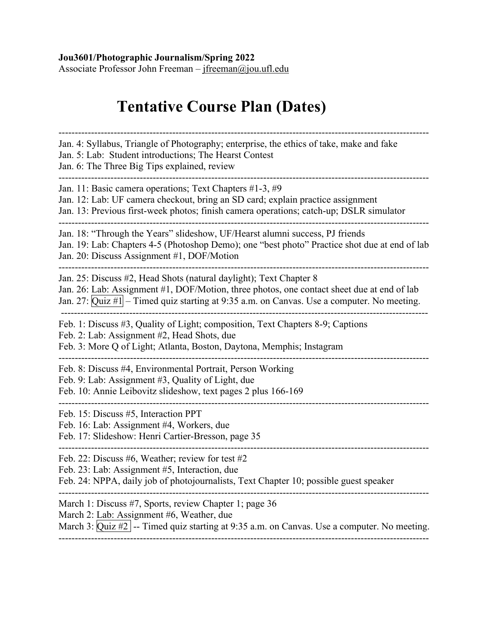#### **Jou3601/Photographic Journalism/Spring 2022**

Associate Professor John Freeman – [jfreeman@jou.ufl.edu](mailto:jfreeman@jou.ufl.edu)

# **Tentative Course Plan (Dates)**

------------------------------------------------------------------------------------------------------------------ Jan. 4: Syllabus, Triangle of Photography; enterprise, the ethics of take, make and fake Jan. 5: Lab: Student introductions; The Hearst Contest Jan. 6: The Three Big Tips explained, review ------------------------------------------------------------------------------------------------------------------ Jan. 11: Basic camera operations; Text Chapters #1-3, #9 Jan. 12: Lab: UF camera checkout, bring an SD card; explain practice assignment Jan. 13: Previous first-week photos; finish camera operations; catch-up; DSLR simulator ------------------------------------------------------------------------------------------------------------------ Jan. 18: "Through the Years" slideshow, UF/Hearst alumni success, PJ friends Jan. 19: Lab: Chapters 4-5 (Photoshop Demo); one "best photo" Practice shot due at end of lab Jan. 20: Discuss Assignment #1, DOF/Motion ------------------------------------------------------------------------------------------------------------------ Jan. 25: Discuss #2, Head Shots (natural daylight); Text Chapter 8 Jan. 26: Lab: Assignment #1, DOF/Motion, three photos, one contact sheet due at end of lab Jan. 27:  $\overline{Quiz \#1}$  – Timed quiz starting at 9:35 a.m. on Canvas. Use a computer. No meeting. ----------------------------------------------------------------------------------------------------------------- Feb. 1: Discuss #3, Quality of Light; composition, Text Chapters 8-9; Captions Feb. 2: Lab: Assignment #2, Head Shots, due Feb. 3: More Q of Light; Atlanta, Boston, Daytona, Memphis; Instagram ------------------------------------------------------------------------------------------------------------------ Feb. 8: Discuss #4, Environmental Portrait, Person Working Feb. 9: Lab: Assignment #3, Quality of Light, due Feb. 10: Annie Leibovitz slideshow, text pages 2 plus 166-169 ------------------------------------------------------------------------------------------------------------------ Feb. 15: Discuss #5, Interaction PPT Feb. 16: Lab: Assignment #4, Workers, due Feb. 17: Slideshow: Henri Cartier-Bresson, page 35 ------------------------------------------------------------------------------------------------------------------ Feb. 22: Discuss #6, Weather; review for test #2 Feb. 23: Lab: Assignment #5, Interaction, due Feb. 24: NPPA, daily job of photojournalists, Text Chapter 10; possible guest speaker ------------------------------------------------------------------------------------------------------------------ March 1: Discuss #7, Sports, review Chapter 1; page 36 March 2: Lab: Assignment #6, Weather, due March 3:  $\overline{Quiz \#2}$  -- Timed quiz starting at 9:35 a.m. on Canvas. Use a computer. No meeting. ------------------------------------------------------------------------------------------------------------------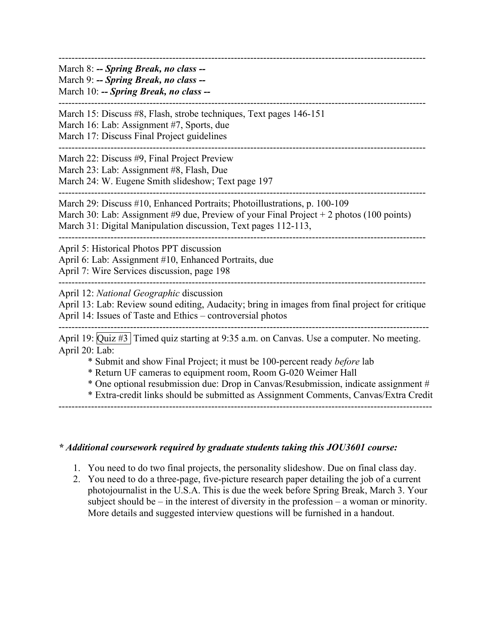| March 8: -- Spring Break, no class --<br>March 9: -- Spring Break, no class --<br>March 10: -- Spring Break, no class --                                                                                                                                                                                                                                                                                                                |  |
|-----------------------------------------------------------------------------------------------------------------------------------------------------------------------------------------------------------------------------------------------------------------------------------------------------------------------------------------------------------------------------------------------------------------------------------------|--|
| March 15: Discuss #8, Flash, strobe techniques, Text pages 146-151<br>March 16: Lab: Assignment #7, Sports, due<br>March 17: Discuss Final Project guidelines                                                                                                                                                                                                                                                                           |  |
| March 22: Discuss #9, Final Project Preview<br>March 23: Lab: Assignment #8, Flash, Due<br>March 24: W. Eugene Smith slideshow; Text page 197                                                                                                                                                                                                                                                                                           |  |
| March 29: Discuss #10, Enhanced Portraits; Photoillustrations, p. 100-109<br>March 30: Lab: Assignment #9 due, Preview of your Final Project $+ 2$ photos (100 points)<br>March 31: Digital Manipulation discussion, Text pages 112-113,                                                                                                                                                                                                |  |
| April 5: Historical Photos PPT discussion<br>April 6: Lab: Assignment #10, Enhanced Portraits, due<br>April 7: Wire Services discussion, page 198                                                                                                                                                                                                                                                                                       |  |
| April 12: National Geographic discussion<br>April 13: Lab: Review sound editing, Audacity; bring in images from final project for critique<br>April 14: Issues of Taste and Ethics - controversial photos                                                                                                                                                                                                                               |  |
| April 19: Quiz #3 Timed quiz starting at 9:35 a.m. on Canvas. Use a computer. No meeting.<br>April 20: Lab:<br>* Submit and show Final Project; it must be 100-percent ready before lab<br>* Return UF cameras to equipment room, Room G-020 Weimer Hall<br>* One optional resubmission due: Drop in Canvas/Resubmission, indicate assignment #<br>* Extra-credit links should be submitted as Assignment Comments, Canvas/Extra Credit |  |

### *\* Additional coursework required by graduate students taking this JOU3601 course:*

- 1. You need to do two final projects, the personality slideshow. Due on final class day.
- 2. You need to do a three-page, five-picture research paper detailing the job of a current photojournalist in the U.S.A. This is due the week before Spring Break, March 3. Your subject should be – in the interest of diversity in the profession – a woman or minority. More details and suggested interview questions will be furnished in a handout.